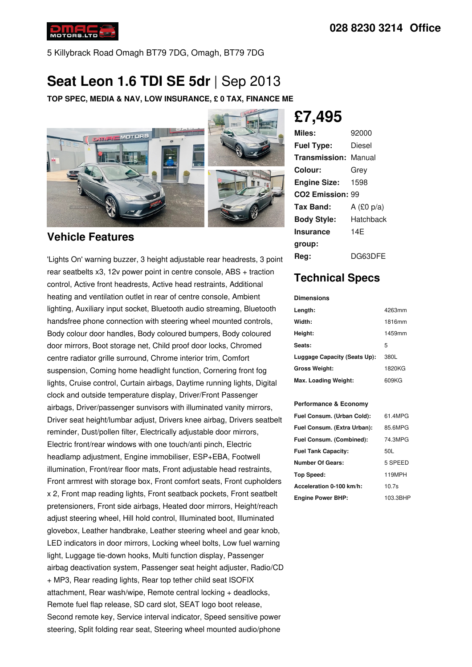

5 Killybrack Road Omagh BT79 7DG, Omagh, BT79 7DG

## **Seat Leon 1.6 TDI SE 5dr** | Sep 2013

**TOP SPEC, MEDIA & NAV, LOW INSURANCE, £ 0 TAX, FINANCE ME**



#### **Vehicle Features**

'Lights On' warning buzzer, 3 height adjustable rear headrests, 3 point rear seatbelts x3, 12v power point in centre console, ABS + traction control, Active front headrests, Active head restraints, Additional heating and ventilation outlet in rear of centre console, Ambient lighting, Auxiliary input socket, Bluetooth audio streaming, Bluetooth handsfree phone connection with steering wheel mounted controls, Body colour door handles, Body coloured bumpers, Body coloured door mirrors, Boot storage net, Child proof door locks, Chromed centre radiator grille surround, Chrome interior trim, Comfort suspension, Coming home headlight function, Cornering front fog lights, Cruise control, Curtain airbags, Daytime running lights, Digital clock and outside temperature display, Driver/Front Passenger airbags, Driver/passenger sunvisors with illuminated vanity mirrors, Driver seat height/lumbar adjust, Drivers knee airbag, Drivers seatbelt reminder, Dust/pollen filter, Electrically adjustable door mirrors, Electric front/rear windows with one touch/anti pinch, Electric headlamp adjustment, Engine immobiliser, ESP+EBA, Footwell illumination, Front/rear floor mats, Front adjustable head restraints, Front armrest with storage box, Front comfort seats, Front cupholders x 2, Front map reading lights, Front seatback pockets, Front seatbelt pretensioners, Front side airbags, Heated door mirrors, Height/reach adjust steering wheel, Hill hold control, Illuminated boot, Illuminated glovebox, Leather handbrake, Leather steering wheel and gear knob, LED indicators in door mirrors, Locking wheel bolts, Low fuel warning light, Luggage tie-down hooks, Multi function display, Passenger airbag deactivation system, Passenger seat height adjuster, Radio/CD + MP3, Rear reading lights, Rear top tether child seat ISOFIX attachment, Rear wash/wipe, Remote central locking + deadlocks, Remote fuel flap release, SD card slot, SEAT logo boot release, Second remote key, Service interval indicator, Speed sensitive power steering, Split folding rear seat, Steering wheel mounted audio/phone

# **£7,495**

| Miles:                       | 92000        |
|------------------------------|--------------|
| <b>Fuel Type:</b>            | Diesel       |
| <b>Transmission: Manual</b>  |              |
| Colour:                      | Grey         |
| <b>Engine Size:</b>          | 1598         |
| CO <sub>2</sub> Emission: 99 |              |
| Tax Band:                    | A $(E0 p/a)$ |
| <b>Body Style:</b>           | Hatchback    |
| <b>Insurance</b>             | 14F          |
| group:                       |              |
| Rea:                         | DG63DFE      |

### **Technical Specs**

#### **Dimensions**

| Length:                      | 4263mm |
|------------------------------|--------|
| Width:                       | 1816mm |
| Height:                      | 1459mm |
| Seats:                       | 5      |
| Luggage Capacity (Seats Up): | 380L   |
| <b>Gross Weight:</b>         | 1820KG |
| Max. Loading Weight:         | 609KG  |

#### **Performance & Economy**

| Fuel Consum. (Urban Cold):  | 61.4MPG           |
|-----------------------------|-------------------|
| Fuel Consum. (Extra Urban): | 85.6MPG           |
| Fuel Consum. (Combined):    | 74.3MPG           |
| <b>Fuel Tank Capacity:</b>  | 50L               |
| <b>Number Of Gears:</b>     | 5 SPEED           |
| Top Speed:                  | 119MPH            |
| Acceleration 0-100 km/h:    | 10.7 <sub>s</sub> |
| <b>Engine Power BHP:</b>    | 103.3BHP          |